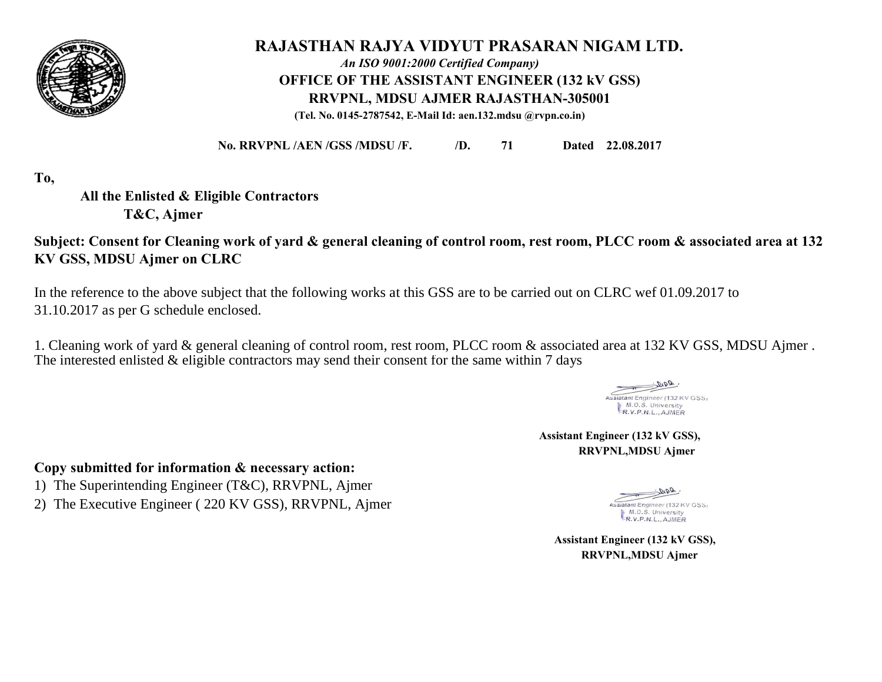

# **RAJASTHAN RAJYA VIDYUT PRASARAN NIGAM LTD.**  *An ISO 9001:2000 Certified Company)*

**OFFICE OF THE ASSISTANT ENGINEER (132 kV GSS)**

**RRVPNL, MDSU AJMER RAJASTHAN-305001**

**(Tel. No. 0145-2787542, E-Mail Id: aen.132.mdsu @rvpn.co.in)**

**No. RRVPNL /AEN /GSS /MDSU /F. /D. 71 Dated 22.08.2017**

**To,**

**All the Enlisted & Eligible Contractors T&C, Ajmer** 

**Subject: Consent for Cleaning work of yard & general cleaning of control room, rest room, PLCC room & associated area at 132 KV GSS, MDSU Ajmer on CLRC** 

In the reference to the above subject that the following works at this GSS are to be carried out on CLRC wef 01.09.2017 to 31.10.2017 as per G schedule enclosed.

The interested enlisted & eligible contractors may send their consent for the same within 7 days 1. Cleaning work of yard & general cleaning of control room, rest room, PLCC room & associated area at 132 KV GSS, MDSU Ajmer .

Assiatant Engineer (132 KV GSS) M.D.S. University R.V.P.N.L., AJMER

 **Assistant Engineer (132 kV GSS), RRVPNL,MDSU Ajmer** 

## **Copy submitted for information & necessary action:**

- 1) The Superintending Engineer (T&C), RRVPNL, Ajmer
- 2) The Executive Engineer ( 220 KV GSS), RRVPNL, Ajmer

ssiatant Engineer (132 KV GSS) M.D.S. University R.V.P.N.L., AJMER

 **Assistant Engineer (132 kV GSS), RRVPNL,MDSU Ajmer**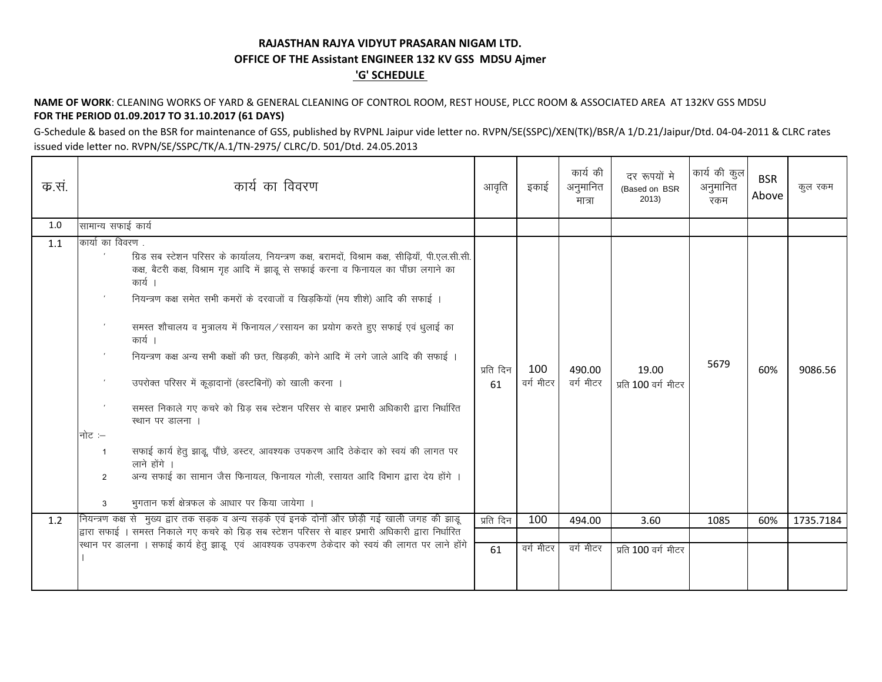### RAJASTHAN RAJYA VIDYUT PRASARAN NIGAM LTD. OFFICE OF THE Assistant ENGINEER 132 KV GSS MDSU Ajmer **'G' SCHEDULE**

#### NAME OF WORK: CLEANING WORKS OF YARD & GENERAL CLEANING OF CONTROL ROOM, REST HOUSE, PLCC ROOM & ASSOCIATED AREA AT 132KV GSS MDSU FOR THE PERIOD 01.09.2017 TO 31.10.2017 (61 DAYS)

G-Schedule & based on the BSR for maintenance of GSS, published by RVPNL Jaipur vide letter no. RVPN/SE(SSPC)/XEN(TK)/BSR/A 1/D.21/Jaipur/Dtd. 04-04-2011 & CLRC rates issued vide letter no. RVPN/SE/SSPC/TK/A.1/TN-2975/ CLRC/D. 501/Dtd. 24.05.2013

| क.सं. | कार्य का विवरण                                                                                                                                                                                                                                                                                                                                                                                                                                                                                                                                                                                                                                                                                                                                                                                                                                                                                                                                 | आवृति           | इकाई             | कार्य की<br>अनुमानित<br>मात्रा | दर रूपयों मे<br>(Based on BSR<br>2013) | कार्य की कुल<br>अनुमानित<br>रकम | <b>BSR</b><br>Above | कुल रकम   |
|-------|------------------------------------------------------------------------------------------------------------------------------------------------------------------------------------------------------------------------------------------------------------------------------------------------------------------------------------------------------------------------------------------------------------------------------------------------------------------------------------------------------------------------------------------------------------------------------------------------------------------------------------------------------------------------------------------------------------------------------------------------------------------------------------------------------------------------------------------------------------------------------------------------------------------------------------------------|-----------------|------------------|--------------------------------|----------------------------------------|---------------------------------|---------------------|-----------|
| 1.0   | सामान्य सफाई कार्य                                                                                                                                                                                                                                                                                                                                                                                                                                                                                                                                                                                                                                                                                                                                                                                                                                                                                                                             |                 |                  |                                |                                        |                                 |                     |           |
| 1.1   | कार्या का विवरण<br>ग्रिड सब स्टेशन परिसर के कार्यालय, नियन्त्रण कक्ष, बरामदों, विश्राम कक्ष, सीढ़ियाँ, पी.एल.सी.सी.<br>कक्ष, बैटरी कक्ष, विश्राम गृह आदि में झाडू से सफाई करना व फिनायल का पौंछा लगाने का<br>कार्य ।<br>नियन्त्रण कक्ष समेत सभी कमरों के दरवाजों व खिड़कियों (मय शीशे) आदि की सफाई ।<br>समस्त शौचालय व मुत्रालय में फिनायल/रसायन का प्रयोग करते हुए सफाई एवं धूलाई का<br>कार्य ।<br>नियन्त्रण कक्ष अन्य सभी कक्षों की छत, खिड़की, कोने आदि में लगे जाले आदि की सफाई ।<br>उपरोक्त परिसर में कूड़ादानों (डस्टबिनों) को खाली करना ।<br>समस्त निकाले गए कचरे को ग्रिड़ सब स्टेशन परिसर से बाहर प्रभारी अधिकारी द्वारा निर्धारित<br>स्थान पर डालना ।<br>नोट :–<br>सफाई कार्य हेतु झाडू, पौंछे, डस्टर, आवश्यक उपकरण आदि ठेकेदार को स्वयं की लागत पर<br>-1<br>लाने होंगे ।<br>अन्य सफाई का सामान जैस फिनायल, फिनायल गोली, रसायत आदि विभाग द्वारा देय होंगे ।<br>$\mathfrak{p}$<br>भुगतान फर्श क्षेत्रफल के आधार पर किया जायेगा ।<br>3 | प्रति दिन<br>61 | 100<br>वर्ग मीटर | 490.00<br>वर्ग मीटर            | 19.00<br>प्रति 100 वर्ग मीटर           | 5679                            | 60%                 | 9086.56   |
| 1.2   | नियन्त्रण कक्ष से मुख्य द्वार तक सड़क व अन्य सड़के एवं इनके दोनों और छोड़ी गई खाली जगह की झाड़ू                                                                                                                                                                                                                                                                                                                                                                                                                                                                                                                                                                                                                                                                                                                                                                                                                                                | प्रति दिन       | 100              | 494.00                         | 3.60                                   | 1085                            | 60%                 | 1735.7184 |
|       | द्वारा सफाई । समस्त निकाले गए कचरे को ग्रिड़ सब स्टेशन परिसर से बाहर प्रभारी अधिकारी द्वारा निर्धारित<br>स्थान पर डालना । सफाई कार्य हेतू झाडू एवं आवश्यक उपकरण ठेकेदार को स्वयं की लागत पर लाने होंगे                                                                                                                                                                                                                                                                                                                                                                                                                                                                                                                                                                                                                                                                                                                                         |                 |                  |                                |                                        |                                 |                     |           |
|       |                                                                                                                                                                                                                                                                                                                                                                                                                                                                                                                                                                                                                                                                                                                                                                                                                                                                                                                                                | 61              | वर्ग मीटर        | वर्ग मीटर                      | प्रति 100 वर्ग मीटर                    |                                 |                     |           |